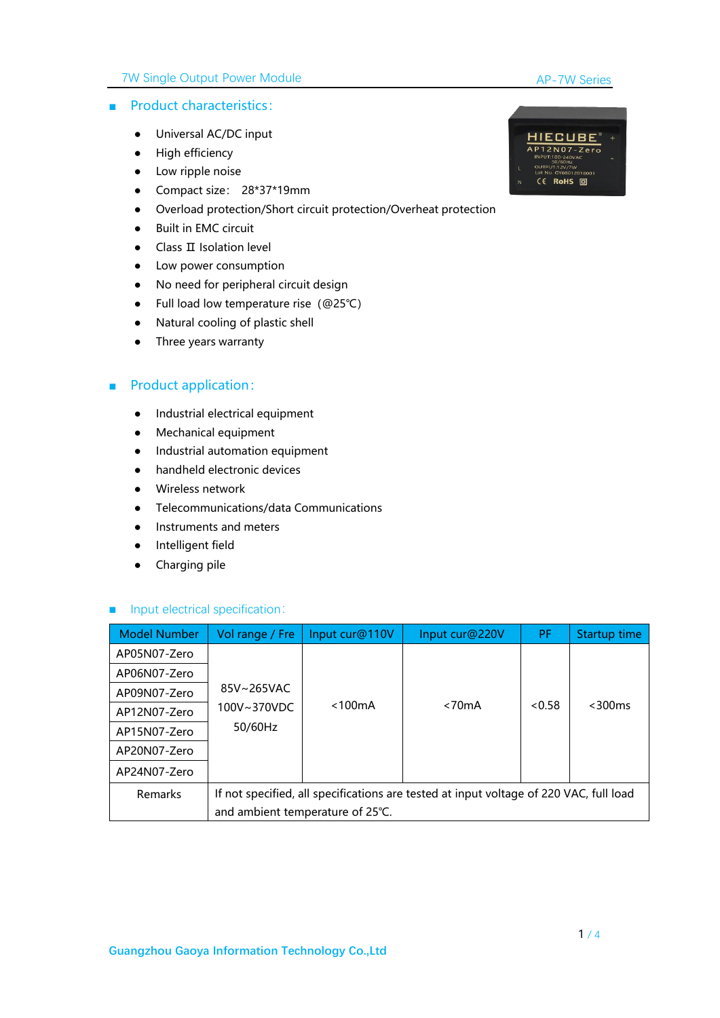### 7W Single Output Power Module

#### AP-7W Series

### ■ Product characteristics:

- Universal AC/DC input
- High efficiency
- Low ripple noise
- Compact size: 28\*37\*19mm
- Overload protection/Short circuit protection/Overheat protection
- Built in EMC circuit
- Class II Isolation level
- Low power consumption
- No need for peripheral circuit design
- Full load low temperature rise(@25℃)
- Natural cooling of plastic shell<br>● Three years warranty
- 

## ■ Product application:

- Industrial electrical equipment
- Mechanical equipment
- Industrial automation equipment
- handheld electronic devices
- Wireless network
- Telecommunications/data Communications
- Instruments and meters
- Intelligent field
- Charging pile

#### ■ Input electrical specification:

| <b>Model Number</b> | Vol range / Fre                                                                                                            | Input cur@110V | Input cur@220V | <b>PF</b> | Startup time |
|---------------------|----------------------------------------------------------------------------------------------------------------------------|----------------|----------------|-----------|--------------|
| AP05N07-Zero        |                                                                                                                            |                |                |           |              |
| AP06N07-Zero        |                                                                                                                            |                |                |           |              |
| AP09N07-Zero        | 85V~265VAC                                                                                                                 |                |                |           |              |
| AP12N07-Zero        | 100V~370VDC                                                                                                                | $<$ 100 $mA$   | < 70mA         | < 0.58    | $<$ 300 $ms$ |
| AP15N07-Zero        | 50/60Hz                                                                                                                    |                |                |           |              |
| AP20N07-Zero        |                                                                                                                            |                |                |           |              |
| AP24N07-Zero        |                                                                                                                            |                |                |           |              |
| <b>Remarks</b>      | If not specified, all specifications are tested at input voltage of 220 VAC, full load<br>and ambient temperature of 25°C. |                |                |           |              |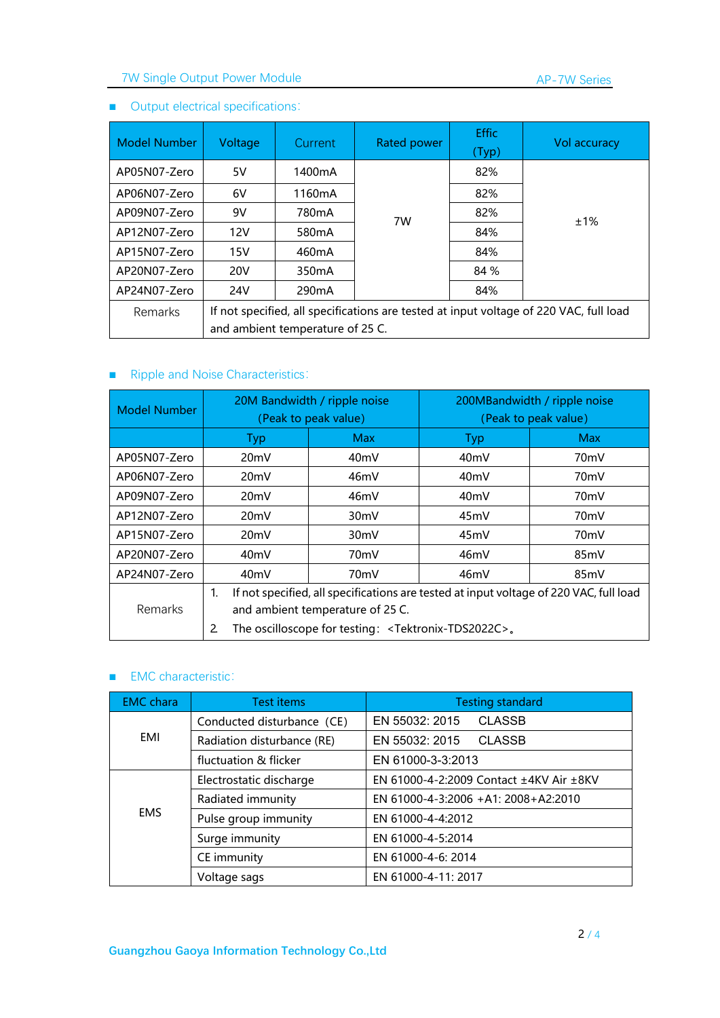# 7W Single Output Power Module

## ■ Output electrical specifications:

| <b>Model Number</b> | Voltage                                                                                                                    | <b>Current</b>            | Rated power | <b>Effic</b><br>(Typ) | Vol accuracy |  |  |  |
|---------------------|----------------------------------------------------------------------------------------------------------------------------|---------------------------|-------------|-----------------------|--------------|--|--|--|
| AP05N07-Zero        | 5V                                                                                                                         | 1400 <sub>m</sub> A       |             | 82%                   |              |  |  |  |
| AP06N07-Zero        | 6V                                                                                                                         | 1160mA                    |             | 82%                   |              |  |  |  |
| AP09N07-Zero        | 9V                                                                                                                         | 780 <sub>m</sub> A        | 7W          | 82%                   | ±1%          |  |  |  |
| AP12N07-Zero        | 12V                                                                                                                        | 580 <sub>m</sub> A        |             | 84%                   |              |  |  |  |
| AP15N07-Zero        | 15V                                                                                                                        | 460mA                     |             | 84%                   |              |  |  |  |
| AP20N07-Zero        | <b>20V</b>                                                                                                                 | 350 <sub>m</sub> A        | 84 %        |                       |              |  |  |  |
| AP24N07-Zero        | 24V                                                                                                                        | 84%<br>290 <sub>m</sub> A |             |                       |              |  |  |  |
| <b>Remarks</b>      | If not specified, all specifications are tested at input voltage of 220 VAC, full load<br>and ambient temperature of 25 C. |                           |             |                       |              |  |  |  |

## ■ Ripple and Noise Characteristics:

| Model Number | 20M Bandwidth / ripple noise<br>(Peak to peak value)                                                                                                                                                                           |                   | 200MBandwidth / ripple noise<br>(Peak to peak value) |                   |  |
|--------------|--------------------------------------------------------------------------------------------------------------------------------------------------------------------------------------------------------------------------------|-------------------|------------------------------------------------------|-------------------|--|
|              | Typ                                                                                                                                                                                                                            | <b>Max</b>        | Typ                                                  | <b>Max</b>        |  |
| AP05N07-Zero | 20 <sub>m</sub> V                                                                                                                                                                                                              | 40 <sub>m</sub> V | 40 <sub>m</sub> V                                    | 70 <sub>m</sub> V |  |
| AP06N07-Zero | 20mV                                                                                                                                                                                                                           | 46mV              | 40 <sub>m</sub> V                                    | 70 <sub>m</sub> V |  |
| AP09N07-Zero | 20 <sub>m</sub> V                                                                                                                                                                                                              | 46mV              | 40 <sub>m</sub> V                                    | 70 <sub>m</sub> V |  |
| AP12N07-Zero | 20mV                                                                                                                                                                                                                           | 30 <sub>m</sub> V | 45 <sub>m</sub> V                                    | 70 <sub>m</sub> V |  |
| AP15N07-Zero | 20mV                                                                                                                                                                                                                           | 30 <sub>m</sub> V | 45mV                                                 | 70 <sub>m</sub> V |  |
| AP20N07-Zero | 40mV                                                                                                                                                                                                                           | 70 <sub>m</sub> V | 46mV                                                 | 85 <sub>m</sub> V |  |
| AP24N07-Zero | 40 <sub>m</sub> V                                                                                                                                                                                                              | 70 <sub>m</sub> V | 46mV                                                 | 85 <sub>m</sub> V |  |
| Remarks      | If not specified, all specifications are tested at input voltage of 220 VAC, full load<br>$\mathbf{1}$ .<br>and ambient temperature of 25 C.<br>The oscilloscope for testing: <tektronix-tds2022c>.<br/>2</tektronix-tds2022c> |                   |                                                      |                   |  |

#### ■ EMC characteristic:

| <b>EMC</b> chara | <b>Test items</b>          | <b>Testing standard</b>                 |  |  |  |  |
|------------------|----------------------------|-----------------------------------------|--|--|--|--|
|                  | Conducted disturbance (CE) | <b>CLASSB</b><br>EN 55032: 2015         |  |  |  |  |
| EMI              | Radiation disturbance (RE) | EN 55032: 2015<br><b>CLASSB</b>         |  |  |  |  |
|                  | fluctuation & flicker      | EN 61000-3-3:2013                       |  |  |  |  |
|                  | Electrostatic discharge    | EN 61000-4-2:2009 Contact ±4KV Air ±8KV |  |  |  |  |
|                  | Radiated immunity          | EN 61000-4-3:2006 +A1: 2008+A2:2010     |  |  |  |  |
| <b>EMS</b>       | Pulse group immunity       | EN 61000-4-4:2012                       |  |  |  |  |
|                  | Surge immunity             | EN 61000-4-5:2014                       |  |  |  |  |
|                  | CE immunity                | EN 61000-4-6: 2014                      |  |  |  |  |
|                  | Voltage sags               | EN 61000-4-11: 2017                     |  |  |  |  |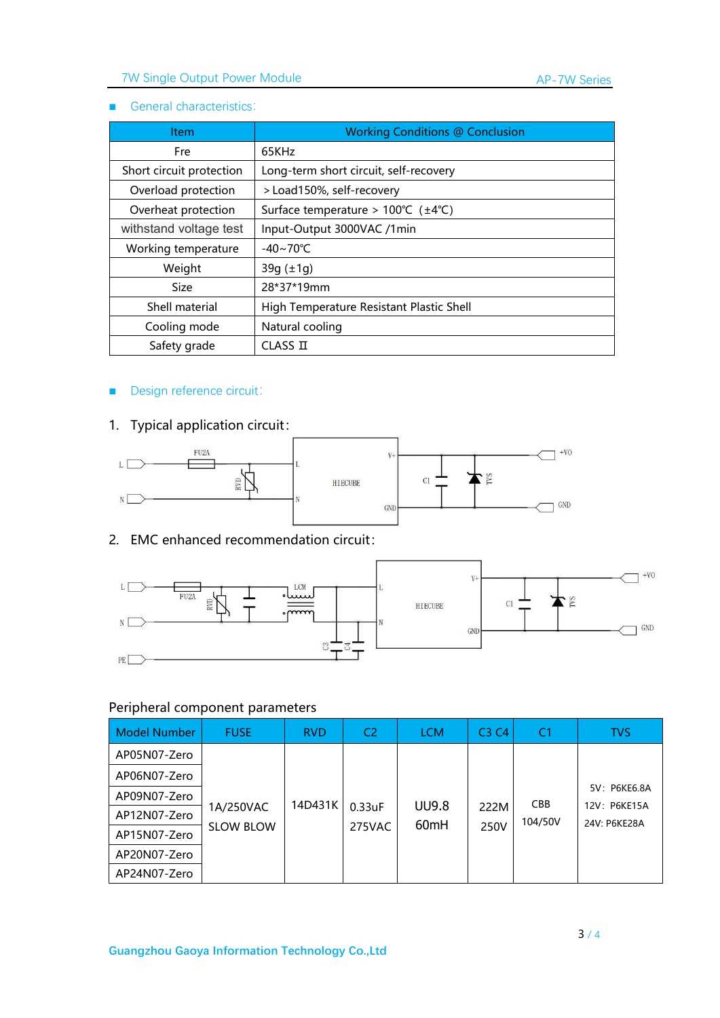# 7W Single Output Power Module

### ■ General characteristics:

| <b>Item</b>              | <b>Working Conditions @ Conclusion</b>                    |
|--------------------------|-----------------------------------------------------------|
| Fre                      | 65KHz                                                     |
| Short circuit protection | Long-term short circuit, self-recovery                    |
| Overload protection      | > Load150%, self-recovery                                 |
| Overheat protection      | Surface temperature > $100^{\circ}C$ ( $\pm 4^{\circ}C$ ) |
| withstand voltage test   | Input-Output 3000VAC /1min                                |
| Working temperature      | $-40 \sim 70^{\circ}$ C                                   |
| Weight                   | $39q (\pm 1q)$                                            |
| <b>Size</b>              | 28*37*19mm                                                |
| Shell material           | High Temperature Resistant Plastic Shell                  |
| Cooling mode             | Natural cooling                                           |
| Safety grade             | CLASSI                                                    |

## ■ Design reference circuit:

# 1. Typical application circuit:



## 2. EMC enhanced recommendation circuit:



## Peripheral component parameters

| <b>Model Number</b> | <b>FUSE</b>                   | <b>RVD</b> | C <sub>2</sub>   | <b>LCM</b>   | C3C4         | C <sub>1</sub> | <b>TVS</b>                   |
|---------------------|-------------------------------|------------|------------------|--------------|--------------|----------------|------------------------------|
| AP05N07-Zero        |                               |            |                  |              |              |                |                              |
| AP06N07-Zero        |                               |            |                  |              |              |                |                              |
| AP09N07-Zero        |                               | 14D431K    |                  | <b>UU9.8</b> |              | <b>CBB</b>     | 5V: P6KE6.8A<br>12V: P6KE15A |
| AP12N07-Zero        | 1A/250VAC<br><b>SLOW BLOW</b> |            | 0.33uF<br>275VAC | 60mH         | 222M<br>250V | 104/50V        | 24V: P6KE28A                 |
| AP15N07-Zero        |                               |            |                  |              |              |                |                              |
| AP20N07-Zero        |                               |            |                  |              |              |                |                              |
| AP24N07-Zero        |                               |            |                  |              |              |                |                              |